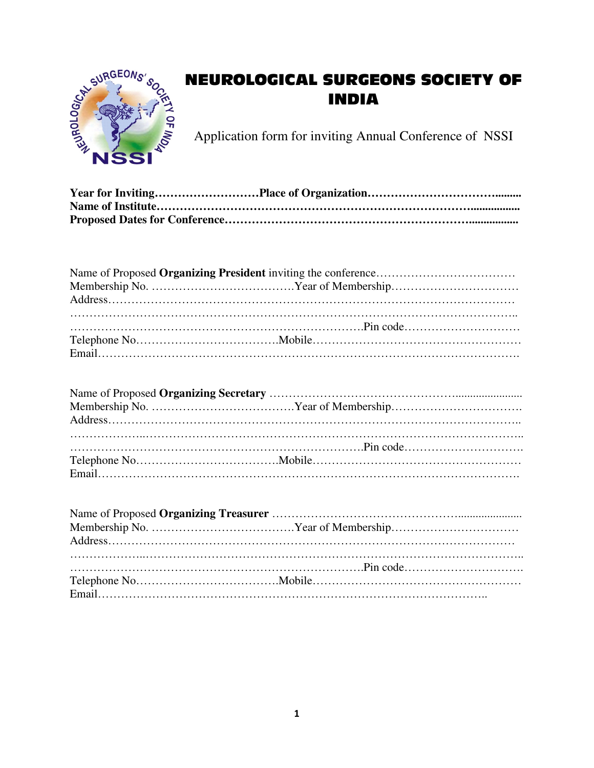

## **NEUROLOGICAL SURGEONS SOCIETY OF INDIA**

Application form for inviting Annual Conference of NSSI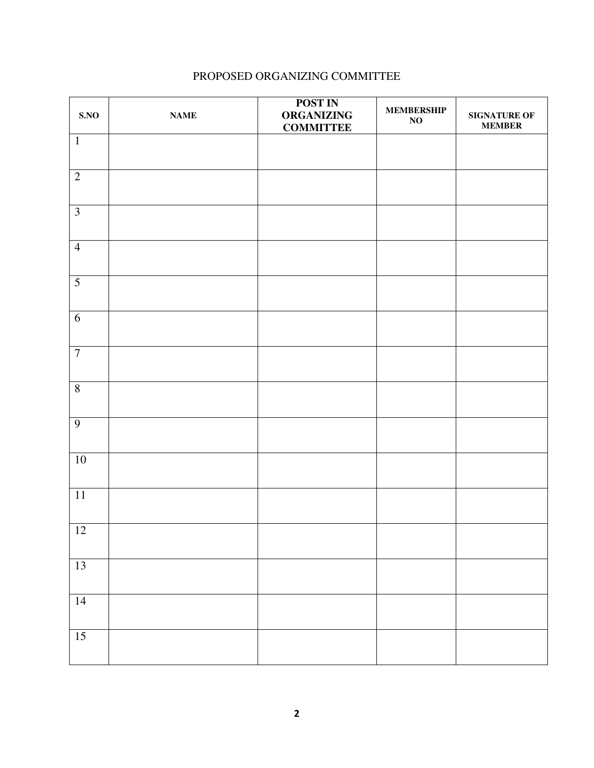## PROPOSED ORGANIZING COMMITTEE

| SNO             | $\mathbf{NAME}$ | <b>POST IN</b><br><b>ORGANIZING</b><br><b>COMMITTEE</b> | <b>MEMBERSHIP</b><br>$\mathbf{NO}$ | <b>SIGNATURE OF</b><br><b>MEMBER</b> |
|-----------------|-----------------|---------------------------------------------------------|------------------------------------|--------------------------------------|
| $\mathbf 1$     |                 |                                                         |                                    |                                      |
| $\sqrt{2}$      |                 |                                                         |                                    |                                      |
| $\overline{3}$  |                 |                                                         |                                    |                                      |
| $\overline{4}$  |                 |                                                         |                                    |                                      |
| 5               |                 |                                                         |                                    |                                      |
| $6\,$           |                 |                                                         |                                    |                                      |
| $\overline{7}$  |                 |                                                         |                                    |                                      |
| $8\,$           |                 |                                                         |                                    |                                      |
| 9               |                 |                                                         |                                    |                                      |
| 10              |                 |                                                         |                                    |                                      |
| $11\,$          |                 |                                                         |                                    |                                      |
| <sup>12</sup>   |                 |                                                         |                                    |                                      |
| $\overline{13}$ |                 |                                                         |                                    |                                      |
| 14              |                 |                                                         |                                    |                                      |
| 15              |                 |                                                         |                                    |                                      |